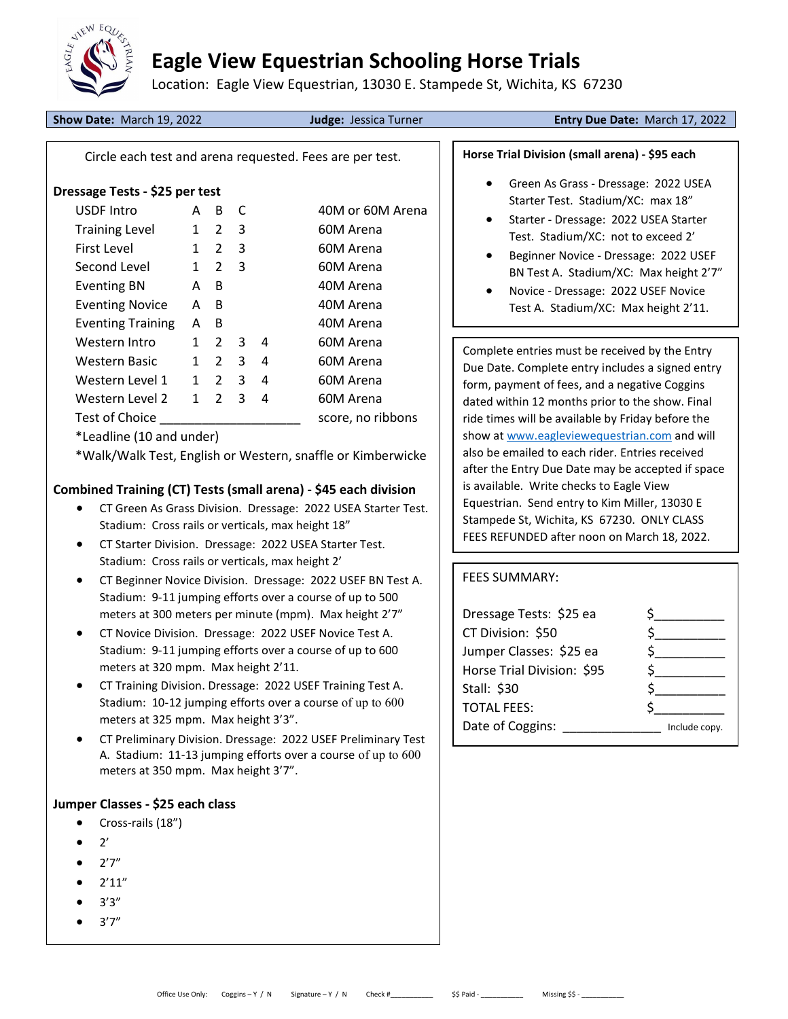

# Eagle View Equestrian Schooling Horse Trials

Location: Eagle View Equestrian, 13030 E. Stampede St, Wichita, KS 67230

Show Date: March 19, 2022 **Judge: Jessica Turner Entry Due Date: March 17, 2022** 

Circle each test and arena requested. Fees are per test.

### Dressage Tests - \$25 per test

| <b>USDF Intro</b>        | А            | В             |   |   | 40M or 60M Arena  |
|--------------------------|--------------|---------------|---|---|-------------------|
| <b>Training Level</b>    | 1            | 2             | 3 |   | 60M Arena         |
| First Level              | $\mathbf{1}$ | 2             | 3 |   | 60M Arena         |
| Second Level             | 1            | 2             | 3 |   | 60M Arena         |
| <b>Eventing BN</b>       | А            | B             |   |   | 40M Arena         |
| <b>Eventing Novice</b>   | Α            | B             |   |   | 40M Arena         |
| <b>Eventing Training</b> | A            | B             |   |   | 40M Arena         |
| Western Intro            | 1            | $\mathcal{L}$ | 3 | 4 | 60M Arena         |
| <b>Western Basic</b>     | 1            | 2             | 3 | 4 | 60M Arena         |
| Western Level 1          | 1            | 2             | 3 | 4 | 60M Arena         |
| Western Level 2          | 1            | 2             | 3 | 4 | 60M Arena         |
| Test of Choice           |              |               |   |   | score, no ribbons |
|                          |              |               |   |   |                   |

\*Leadline (10 and under)

\*Walk/Walk Test, English or Western, snaffle or Kimberwicke

## Combined Training (CT) Tests (small arena) - \$45 each division

- CT Green As Grass Division. Dressage: 2022 USEA Starter Test. Stadium: Cross rails or verticals, max height 18"
- CT Starter Division. Dressage: 2022 USEA Starter Test. Stadium: Cross rails or verticals, max height 2'
- CT Beginner Novice Division. Dressage: 2022 USEF BN Test A. Stadium: 9-11 jumping efforts over a course of up to 500 meters at 300 meters per minute (mpm). Max height 2'7"
- CT Novice Division. Dressage: 2022 USEF Novice Test A. Stadium: 9-11 jumping efforts over a course of up to 600 meters at 320 mpm. Max height 2'11.
- CT Training Division. Dressage: 2022 USEF Training Test A. Stadium: 10-12 jumping efforts over a course of up to 600 meters at 325 mpm. Max height 3'3".
- CT Preliminary Division. Dressage: 2022 USEF Preliminary Test A. Stadium: 11-13 jumping efforts over a course of up to 600 meters at 350 mpm. Max height 3'7".

## Jumper Classes - \$25 each class

- Cross-rails (18")
- 2'
- 2'7"
- 2'11"
- 3'3"
- 3'7"

### Horse Trial Division (small arena) - \$95 each

- Green As Grass Dressage: 2022 USEA Starter Test. Stadium/XC: max 18"
- Starter Dressage: 2022 USEA Starter Test. Stadium/XC: not to exceed 2'
- Beginner Novice Dressage: 2022 USEF BN Test A. Stadium/XC: Max height 2'7"
- Novice Dressage: 2022 USEF Novice
- Test A. Stadium/XC: Max height 2'11.

Complete entries must be received by the Entry Due Date. Complete entry includes a signed entry form, payment of fees, and a negative Coggins dated within 12 months prior to the show. Final ride times will be available by Friday before the show at www.eagleviewequestrian.com and will also be emailed to each rider. Entries received after the Entry Due Date may be accepted if space is available. Write checks to Eagle View Equestrian. Send entry to Kim Miller, 13030 E Stampede St, Wichita, KS 67230. ONLY CLASS FEES REFUNDED after noon on March 18, 2022.

#### FEES SUMMARY:

| Dressage Tests: \$25 ea    |               |
|----------------------------|---------------|
| CT Division: \$50          |               |
| Jumper Classes: \$25 ea    |               |
| Horse Trial Division: \$95 |               |
| Stall: \$30                |               |
| <b>TOTAL FEES:</b>         |               |
| Date of Coggins:           | Include copy. |